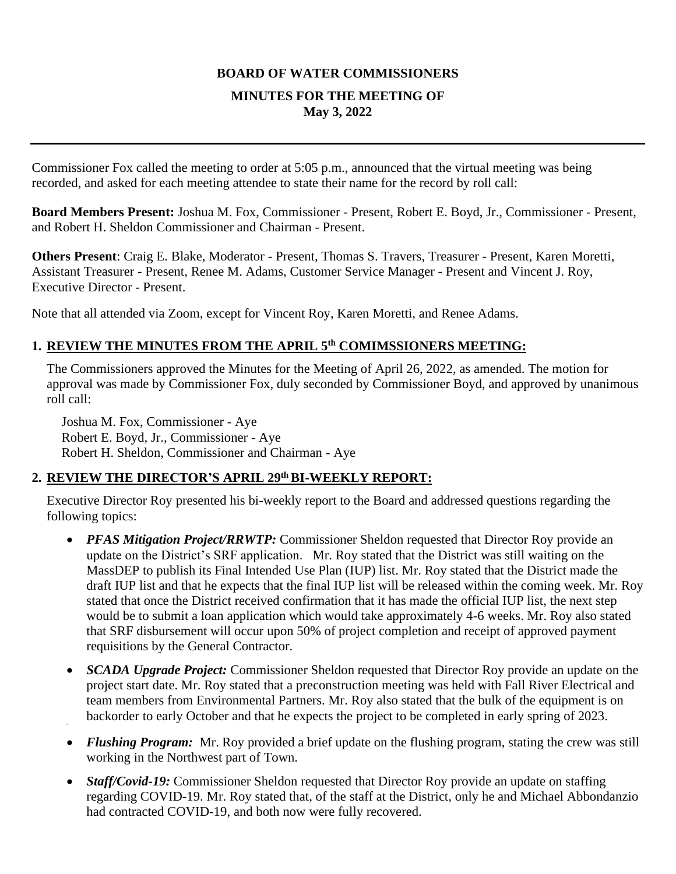### **BOARD OF WATER COMMISSIONERS**

### **MINUTES FOR THE MEETING OF May 3, 2022**

Commissioner Fox called the meeting to order at 5:05 p.m., announced that the virtual meeting was being recorded, and asked for each meeting attendee to state their name for the record by roll call:

**Board Members Present:** Joshua M. Fox, Commissioner - Present, Robert E. Boyd, Jr., Commissioner - Present, and Robert H. Sheldon Commissioner and Chairman - Present.

**Others Present**: Craig E. Blake, Moderator - Present, Thomas S. Travers, Treasurer - Present, Karen Moretti, Assistant Treasurer - Present, Renee M. Adams, Customer Service Manager - Present and Vincent J. Roy, Executive Director - Present.

Note that all attended via Zoom, except for Vincent Roy, Karen Moretti, and Renee Adams.

# **1. REVIEW THE MINUTES FROM THE APRIL 5th COMIMSSIONERS MEETING:**

The Commissioners approved the Minutes for the Meeting of April 26, 2022, as amended. The motion for approval was made by Commissioner Fox, duly seconded by Commissioner Boyd, and approved by unanimous roll call:

Joshua M. Fox, Commissioner - Aye Robert E. Boyd, Jr., Commissioner - Aye Robert H. Sheldon, Commissioner and Chairman - Aye

# **2. REVIEW THE DIRECTOR'S APRIL 29th BI-WEEKLY REPORT:**

Executive Director Roy presented his bi-weekly report to the Board and addressed questions regarding the following topics:

- *PFAS Mitigation Project/RRWTP:* Commissioner Sheldon requested that Director Roy provide an update on the District's SRF application. Mr. Roy stated that the District was still waiting on the MassDEP to publish its Final Intended Use Plan (IUP) list. Mr. Roy stated that the District made the draft IUP list and that he expects that the final IUP list will be released within the coming week. Mr. Roy stated that once the District received confirmation that it has made the official IUP list, the next step would be to submit a loan application which would take approximately 4-6 weeks. Mr. Roy also stated that SRF disbursement will occur upon 50% of project completion and receipt of approved payment requisitions by the General Contractor.
- *SCADA Upgrade Project:* Commissioner Sheldon requested that Director Roy provide an update on the project start date. Mr. Roy stated that a preconstruction meeting was held with Fall River Electrical and team members from Environmental Partners. Mr. Roy also stated that the bulk of the equipment is on backorder to early October and that he expects the project to be completed in early spring of 2023.
- *Flushing Program:* Mr. Roy provided a brief update on the flushing program, stating the crew was still working in the Northwest part of Town.
- *Staff/Covid-19:* Commissioner Sheldon requested that Director Roy provide an update on staffing regarding COVID-19. Mr. Roy stated that, of the staff at the District, only he and Michael Abbondanzio had contracted COVID-19, and both now were fully recovered.